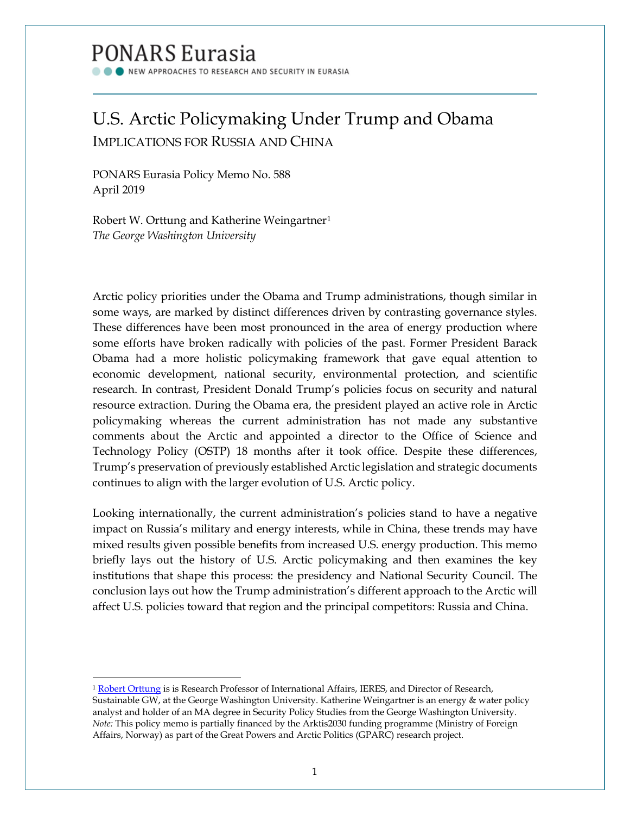# PONARS Eurasia

NEW APPROACHES TO RESEARCH AND SECURITY IN EURASIA

# U.S. Arctic Policymaking Under Trump and Obama IMPLICATIONS FOR RUSSIA AND CHINA

PONARS Eurasia Policy Memo No. 588 April 2019

 $\overline{a}$ 

Robert W. Orttung and Katherine Weingartner[1](#page-0-0) *The George Washington University*

Arctic policy priorities under the Obama and Trump administrations, though similar in some ways, are marked by distinct differences driven by contrasting governance styles. These differences have been most pronounced in the area of energy production where some efforts have broken radically with policies of the past. Former President Barack Obama had a more holistic policymaking framework that gave equal attention to economic development, national security, environmental protection, and scientific research. In contrast, President Donald Trump's policies focus on security and natural resource extraction. During the Obama era, the president played an active role in Arctic policymaking whereas the current administration has not made any substantive comments about the Arctic and appointed a director to the Office of Science and Technology Policy (OSTP) 18 months after it took office. Despite these differences, Trump's preservation of previously established Arctic legislation and strategic documents continues to align with the larger evolution of U.S. Arctic policy.

Looking internationally, the current administration's policies stand to have a negative impact on Russia's military and energy interests, while in China, these trends may have mixed results given possible benefits from increased U.S. energy production. This memo briefly lays out the history of U.S. Arctic policymaking and then examines the key institutions that shape this process: the presidency and National Security Council. The conclusion lays out how the Trump administration's different approach to the Arctic will affect U.S. policies toward that region and the principal competitors: Russia and China.

<span id="page-0-0"></span><sup>&</sup>lt;sup>1</sup> [Robert Orttung](http://www.ponarseurasia.org/members/robert-orttung) is is Research Professor of International Affairs, IERES, and Director of Research, Sustainable GW, at the George Washington University. Katherine Weingartner is an energy & water policy analyst and holder of an MA degree in Security Policy Studies from the George Washington University. *Note:* This policy memo is partially financed by the Arktis2030 funding programme (Ministry of Foreign Affairs, Norway) as part of the Great Powers and Arctic Politics (GPARC) research project.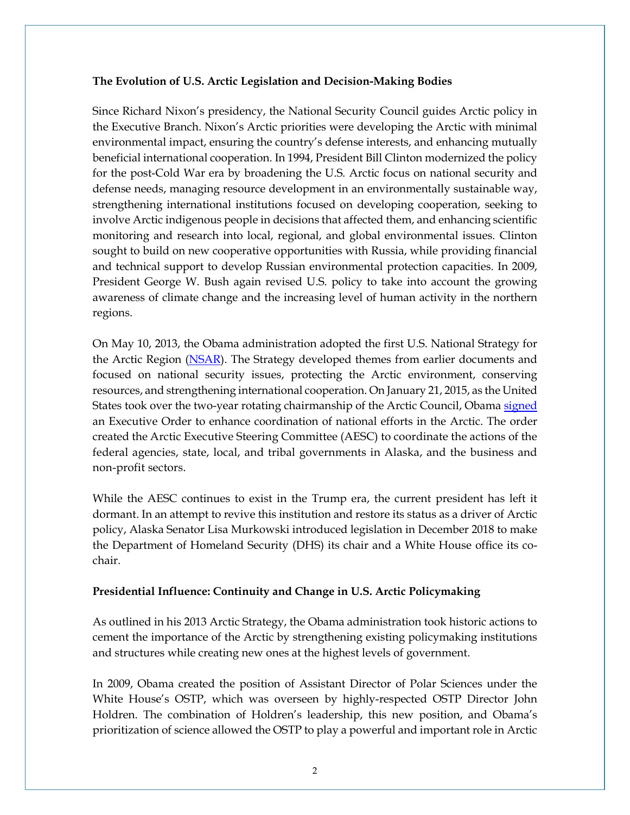#### **The Evolution of U.S. Arctic Legislation and Decision-Making Bodies**

Since Richard Nixon's presidency, the National Security Council guides Arctic policy in the Executive Branch. Nixon's Arctic priorities were developing the Arctic with minimal environmental impact, ensuring the country's defense interests, and enhancing mutually beneficial international cooperation. In 1994, President Bill Clinton modernized the policy for the post-Cold War era by broadening the U.S. Arctic focus on national security and defense needs, managing resource development in an environmentally sustainable way, strengthening international institutions focused on developing cooperation, seeking to involve Arctic indigenous people in decisions that affected them, and enhancing scientific monitoring and research into local, regional, and global environmental issues. Clinton sought to build on new cooperative opportunities with Russia, while providing financial and technical support to develop Russian environmental protection capacities. In 2009, President George W. Bush again revised U.S. policy to take into account the growing awareness of climate change and the increasing level of human activity in the northern regions.

On May 10, 2013, the Obama administration adopted the first U.S. National Strategy for the Arctic Region [\(NSAR\)](https://obamawhitehouse.archives.gov/sites/default/files/docs/nat_arctic_strategy.pdf). The Strategy developed themes from earlier documents and focused on national security issues, protecting the Arctic environment, conserving resources, and strengthening international cooperation. On January 21, 2015, as the United States took over the two-year rotating chairmanship of the Arctic Council, Obam[a signed](https://obamawhitehouse.archives.gov/the-press-office/2015/01/21/executive-order-enhancing-coordination-national-efforts-arctic) an Executive Order to enhance coordination of national efforts in the Arctic. The order created the Arctic Executive Steering Committee (AESC) to coordinate the actions of the federal agencies, state, local, and tribal governments in Alaska, and the business and non-profit sectors.

While the AESC continues to exist in the Trump era, the current president has left it dormant. In an attempt to revive this institution and restore its status as a driver of Arctic policy, Alaska Senator Lisa Murkowski introduced legislation in December 2018 to make the Department of Homeland Security (DHS) its chair and a White House office its cochair.

#### **Presidential Influence: Continuity and Change in U.S. Arctic Policymaking**

As outlined in his 2013 Arctic Strategy, the Obama administration took historic actions to cement the importance of the Arctic by strengthening existing policymaking institutions and structures while creating new ones at the highest levels of government.

In 2009, Obama created the position of Assistant Director of Polar Sciences under the White House's OSTP, which was overseen by highly-respected OSTP Director John Holdren. The combination of Holdren's leadership, this new position, and Obama's prioritization of science allowed the OSTP to play a powerful and important role in Arctic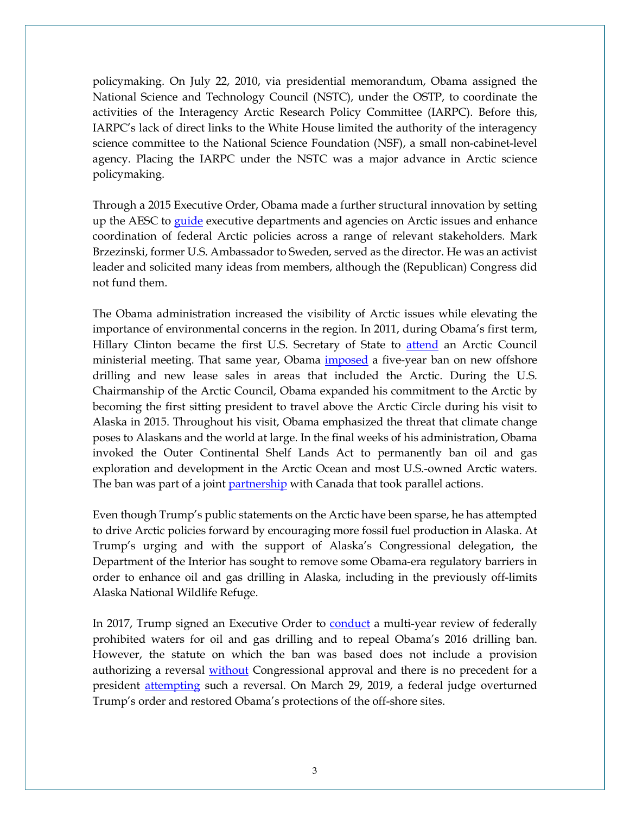policymaking. On July 22, 2010, via presidential memorandum, Obama assigned the National Science and Technology Council (NSTC), under the OSTP, to coordinate the activities of the Interagency Arctic Research Policy Committee (IARPC). Before this, IARPC's lack of direct links to the White House limited the authority of the interagency science committee to the National Science Foundation (NSF), a small non-cabinet-level agency. Placing the IARPC under the NSTC was a major advance in Arctic science policymaking.

Through a 2015 Executive Order, Obama made a further structural innovation by setting up the AESC to [guide](https://www.aip.org/fyi/2015/president-establishes-arctic-executive-steering-committee) executive departments and agencies on Arctic issues and enhance coordination of federal Arctic policies across a range of relevant stakeholders. Mark Brzezinski, former U.S. Ambassador to Sweden, served as the director. He was an activist leader and solicited many ideas from members, although the (Republican) Congress did not fund them.

The Obama administration increased the visibility of Arctic issues while elevating the importance of environmental concerns in the region. In 2011, during Obama's first term, Hillary Clinton became the first U.S. Secretary of State to [attend](https://www.adn.com/arctic/2016/10/19/out-of-campaign-spotlight-obama-keeps-focus-on-arctic-official-says/) an Arctic Council ministerial meeting. That same year, Obama [imposed](https://naturalresources.house.gov/newsroom/documentsingle.aspx?DocumentID=267985) a five-year ban on new offshore drilling and new lease sales in areas that included the Arctic. During the U.S. Chairmanship of the Arctic Council, Obama expanded his commitment to the Arctic by becoming the first sitting president to travel above the Arctic Circle during his visit to Alaska in 2015. Throughout his visit, Obama emphasized the threat that climate change poses to Alaskans and the world at large. In the final weeks of his administration, Obama invoked the Outer Continental Shelf Lands Act to permanently ban oil and gas exploration and development in the Arctic Ocean and most U.S.-owned Arctic waters. The ban was part of a joint [partnership](https://www.npr.org/sections/thetwo-way/2016/12/20/506336885/obama-designates-atlantic-arctic-areas-off-limits-to-offshore-drilling) with Canada that took parallel actions.

Even though Trump's public statements on the Arctic have been sparse, he has attempted to drive Arctic policies forward by encouraging more fossil fuel production in Alaska. At Trump's urging and with the support of Alaska's Congressional delegation, the Department of the Interior has sought to remove some Obama-era regulatory barriers in order to enhance oil and gas drilling in Alaska, including in the previously off-limits Alaska National Wildlife Refuge.

In 2017, Trump signed an Executive Order to [conduct](https://www.cbsnews.com/news/trump-orders-review-of-offshore-oil-and-gas-drilling/) a multi-year review of federally prohibited waters for oil and gas drilling and to repeal Obama's 2016 drilling ban. However, the statute on which the ban was based does not include a provision authorizing a reversal [without](https://earthjustice.org/cases/2017/challenging-trump-s-reversal-of-arctic-and-atlantic-drilling-ban) Congressional approval and there is no precedent for a president [attempting](https://www.npr.org/sections/thetwo-way/2016/12/20/506336885/obama-designates-atlantic-arctic-areas-off-limits-to-offshore-drilling) such a reversal. On March 29, 2019, a federal judge overturned Trump's order and restored Obama's protections of the off-shore sites.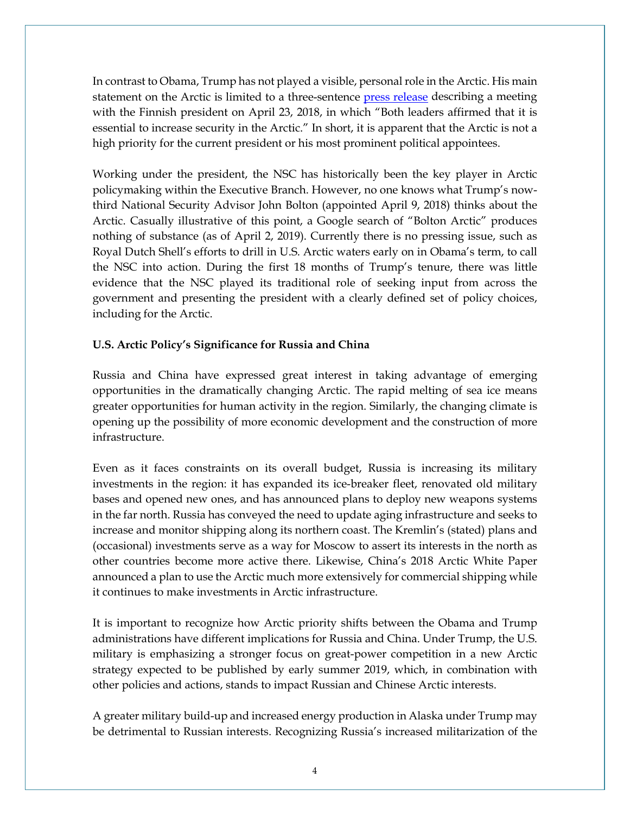In contrast to Obama, Trump has not played a visible, personal role in the Arctic. His main statement on the Arctic is limited to a three-sentence [press release](https://www.whitehouse.gov/briefings-statements/readout-president-donald-j-trumps-call-president-sauli-niinisto-finland/) describing a meeting with the Finnish president on April 23, 2018, in which "Both leaders affirmed that it is essential to increase security in the Arctic." In short, it is apparent that the Arctic is not a high priority for the current president or his most prominent political appointees.

Working under the president, the NSC has historically been the key player in Arctic policymaking within the Executive Branch. However, no one knows what Trump's nowthird National Security Advisor John Bolton (appointed April 9, 2018) thinks about the Arctic. Casually illustrative of this point, a Google search of "Bolton Arctic" produces nothing of substance (as of April 2, 2019). Currently there is no pressing issue, such as Royal Dutch Shell's efforts to drill in U.S. Arctic waters early on in Obama's term, to call the NSC into action. During the first 18 months of Trump's tenure, there was little evidence that the NSC played its traditional role of seeking input from across the government and presenting the president with a clearly defined set of policy choices, including for the Arctic.

## **U.S. Arctic Policy's Significance for Russia and China**

Russia and China have expressed great interest in taking advantage of emerging opportunities in the dramatically changing Arctic. The rapid melting of sea ice means greater opportunities for human activity in the region. Similarly, the changing climate is opening up the possibility of more economic development and the construction of more infrastructure.

Even as it faces constraints on its overall budget, Russia is increasing its military investments in the region: it has expanded its ice-breaker fleet, renovated old military bases and opened new ones, and has announced plans to deploy new weapons systems in the far north. Russia has conveyed the need to update aging infrastructure and seeks to increase and monitor shipping along its northern coast. The Kremlin's (stated) plans and (occasional) investments serve as a way for Moscow to assert its interests in the north as other countries become more active there. Likewise, China's 2018 Arctic White Paper announced a plan to use the Arctic much more extensively for commercial shipping while it continues to make investments in Arctic infrastructure.

It is important to recognize how Arctic priority shifts between the Obama and Trump administrations have different implications for Russia and China. Under Trump, the U.S. military is emphasizing a stronger focus on great-power competition in a new Arctic strategy expected to be published by early summer 2019, which, in combination with other policies and actions, stands to impact Russian and Chinese Arctic interests.

A greater military build-up and increased energy production in Alaska under Trump may be detrimental to Russian interests. Recognizing Russia's increased militarization of the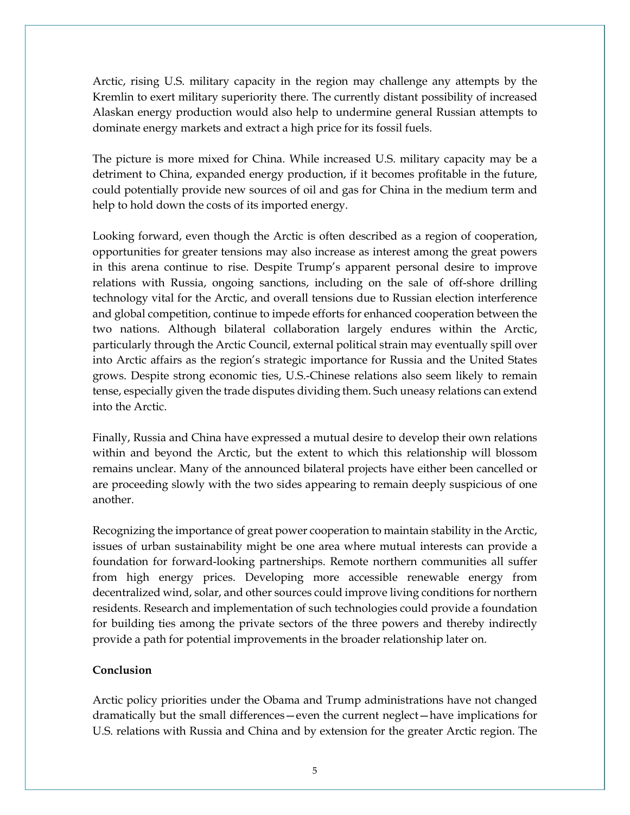Arctic, rising U.S. military capacity in the region may challenge any attempts by the Kremlin to exert military superiority there. The currently distant possibility of increased Alaskan energy production would also help to undermine general Russian attempts to dominate energy markets and extract a high price for its fossil fuels.

The picture is more mixed for China. While increased U.S. military capacity may be a detriment to China, expanded energy production, if it becomes profitable in the future, could potentially provide new sources of oil and gas for China in the medium term and help to hold down the costs of its imported energy.

Looking forward, even though the Arctic is often described as a region of cooperation, opportunities for greater tensions may also increase as interest among the great powers in this arena continue to rise. Despite Trump's apparent personal desire to improve relations with Russia, ongoing sanctions, including on the sale of off-shore drilling technology vital for the Arctic, and overall tensions due to Russian election interference and global competition, continue to impede efforts for enhanced cooperation between the two nations. Although bilateral collaboration largely endures within the Arctic, particularly through the Arctic Council, external political strain may eventually spill over into Arctic affairs as the region's strategic importance for Russia and the United States grows. Despite strong economic ties, U.S.-Chinese relations also seem likely to remain tense, especially given the trade disputes dividing them. Such uneasy relations can extend into the Arctic.

Finally, Russia and China have expressed a mutual desire to develop their own relations within and beyond the Arctic, but the extent to which this relationship will blossom remains unclear. Many of the announced bilateral projects have either been cancelled or are proceeding slowly with the two sides appearing to remain deeply suspicious of one another.

Recognizing the importance of great power cooperation to maintain stability in the Arctic, issues of urban sustainability might be one area where mutual interests can provide a foundation for forward-looking partnerships. Remote northern communities all suffer from high energy prices. Developing more accessible renewable energy from decentralized wind, solar, and other sources could improve living conditions for northern residents. Research and implementation of such technologies could provide a foundation for building ties among the private sectors of the three powers and thereby indirectly provide a path for potential improvements in the broader relationship later on.

## **Conclusion**

Arctic policy priorities under the Obama and Trump administrations have not changed dramatically but the small differences—even the current neglect—have implications for U.S. relations with Russia and China and by extension for the greater Arctic region. The